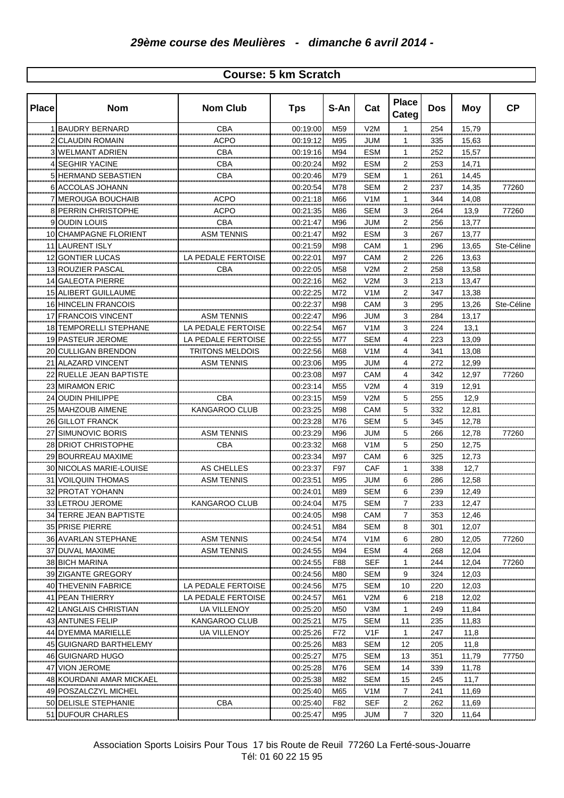## **Course: 5 km Scratch**

| <b>Place</b> | <b>Nom</b>                                               | <b>Nom Club</b>        | <b>Tps</b>                 | S-An            | Cat                  | <b>Place</b><br>Categ       | <b>Dos</b>     | Moy       | <b>CP</b>  |
|--------------|----------------------------------------------------------|------------------------|----------------------------|-----------------|----------------------|-----------------------------|----------------|-----------|------------|
|              | <b>BAUDRY BERNARD</b>                                    | CBA                    | 00:19:00                   | M59             | V2M                  | $\mathbf{1}$                | 254            | 15,79     |            |
|              | <b>CLAUDIN ROMAIN</b><br>                                | <b>ACPO</b>            | 00:19:12                   | M95             | JUM                  | 1                           | 335            | 15,63     |            |
|              | <b>WELMANT ADRIEN</b>                                    | CBA                    | 00:19:16                   | M94             | <b>ESM</b>           | 1                           | 252<br>        | 15,57     |            |
|              | <b>SEGHIR YACINE</b><br>                                 | CBA<br>                | 00:20:24<br>               | M92<br>         | <b>ESM</b><br>       | $\overline{2}$<br>          | 253<br>        | 14,71<br> |            |
|              | HERMAND SEBASTIEN                                        | CBA                    | 00:20:46                   | M79             | SEM                  | 1                           | 261            | 14,45     |            |
|              | <br>6 ACCOLAS JOHANN                                     |                        | 00:20:54                   | <br>M78         | <br>SEM              | .<br>$\overline{2}$         | <br>237        | 14,35     | 77260      |
|              | <br><b>MEROUGA BOUCHAIB</b>                              | ACPO                   | 00:21:18                   | .<br>M66        | <br>V <sub>1</sub> M | <br>1                       | 344            | 14,08     |            |
|              | PERRIN CHRISTOPHE                                        | ACPO                   | 00:21:35                   | M86             | <br>SEM              | 3                           | <br>264        | 13,9      | 77260      |
|              | <b>OUDIN LOUIS</b>                                       | <br>СВА                | 00:21:47                   | <br>M96         | <br>JUM              | -----<br>$\frac{2}{\cdots}$ | <br>256        | 13,77     |            |
|              | 10 CHAMPAGNE FLORIENT                                    | <br>ASM TENNIS         | 00:21:47                   | <br>M92         | <br>ESM              | $\overline{\mathbf{3}}$     | <br>267        | 13,77     |            |
|              | 11 LAURENT ISLY                                          |                        | 00:21:59                   | M98             | CAM                  | 1                           | <br>296        | 13,65     | Ste-Céline |
|              | 12 GONTIER LUCAS                                         | <br>LA PEDALE FERTOISE | <br>00:22:01               | <br>M97         | <br>CAM              | <br>$\overline{a}$          | <br>226        | <br>13,63 |            |
|              | 13 ROUZIER PASCAL                                        | CBA                    | 00:22:05                   | M58             | V2M                  | $\overline{a}$              | 258            | 13,58     |            |
|              | 14IGALEOTA PIERRE                                        |                        | 00:22:16                   | M62             | V2M                  | 3                           | 213            | 13,47     |            |
|              | 15 ALIBERT GUILLAUME                                     |                        | 00:22:25                   | M72             | V1M                  | 2                           | 347            | 13,38     |            |
|              | <b>16 HINCELIN FRANCOIS</b>                              |                        | 00:22:37                   | M98             | CAM                  | 3                           | 295            | 13,26     | Ste-Céline |
|              | 17 FRANCOIS VINCENT                                      | <b>ASM TENNIS</b>      | 00:22:47                   | M96             | JUM                  | 3                           | 284            | 13,17     |            |
|              | <b>18 TEMPORELLI STEPHANE</b>                            | LA PEDALE FERTOISE     | 00:22:54                   | M67             | V1M                  | 3                           | 224            | 13,1      |            |
|              | 19 PASTEUR JEROME                                        | LA PEDALE FERTOISE     | 00:22:55                   | M77             | <b>SEM</b>           | 4                           | 223            | 13,09     |            |
|              | 20 CULLIGAN BRENDON                                      | <b>TRITONS MELDOIS</b> | 00:22:56                   | M68             | V1M                  | 4                           | 341            | 13,08     |            |
|              | 21 ALAZARD VINCENT                                       | ASM TENNIS             | 00:23:06                   | M95             | JUM                  | 4                           | 272            | 12,99     |            |
|              | 22 RUELLE JEAN BAPTISTE                                  |                        |                            | M97             | CAM                  | 4                           | 342            |           | 77260      |
|              |                                                          |                        | 00:23:08                   |                 |                      | $\overline{4}$              |                | 12,97     |            |
|              | 23 MIRAMON ERIC                                          |                        | 00:23:14                   | M <sub>55</sub> | V2M                  |                             | 319            | 12,91     |            |
|              | 24 OUDIN PHILIPPE                                        | CBA                    | 00:23:15                   | M59             | V2M                  | 5                           | 255            | 12,9      |            |
|              | 25 MAHZOUB AIMENE                                        | KANGAROO CLUB          | 00:23:25                   | M98             | CAM                  | 5                           | 332            | 12,81     |            |
|              | 26 GILLOT FRANCK                                         |                        | 00:23:28                   | M76             | SEM                  | $\overline{5}$              | 345<br>.       | 12,78     |            |
| 27           | SIMUNOVIC BORIS                                          | ASM TENNIS             | 00:23:29                   | M96             | JUM                  | $\overline{5}$              | 266            | 12,78     | 77260      |
|              | 28 DRIOT CHRISTOPHE                                      | СВА                    | 00:23:32                   | M68             | V1M<br>              | $\overline{5}$              | 250            | 12,75     |            |
|              | 29 BOURREAU MAXIME                                       |                        | 00:23:34                   | M97<br>         | CAM<br>              | 6<br>                       | 325            | 12,73     |            |
|              | 30 NICOLAS MARIE-LOUISE                                  | AS CHELLES             | 00:23:37                   | F97             | CAF                  | 1                           | 338<br>        | 12,7      |            |
|              | 31   VOILQUIN THOMAS                                     | ASM TENNIS             | 00:23:51                   | M95             | JUM                  | 6                           | 286            | 12,58     |            |
|              | 32 PROTAT YOHANN                                         |                        | 00:24:01                   | M89             | <b>SEM</b>           | 6                           | 239            | 12,49     |            |
|              | 33 LETROU JEROME<br>,,,,,,,,,,,,,,,,,,,,,,,,,,,,,,,,,,,, | KANGAROO CLUB          | 00:24:04<br>               | M75             | SEM                  | 7                           | 233            | 12,47     |            |
|              | 34 TERRE JEAN BAPTISTE<br>                               |                        | 00:24:05<br>               | M98<br>         | CAM                  |                             | 353            | 12.46     |            |
|              | 35 PRISE PIERRE                                          |                        | 00:24:51                   | M84             | SEM                  | 8                           | 301            | 12,07     |            |
|              | 36 AVARLAN STEPHANE                                      | ASM TENNIS             | 00:24:54                   | M74             | V1M                  | 6                           | 280            | 12,05     | 77260      |
|              | 37 DUVAL MAXIME                                          | ASM TENNIS             | 00:24:55                   | M94             | <b>ESM</b>           | 4                           | 268<br>        | 12,04     |            |
|              | 38 BICH MARINA                                           |                        | 00:24:55<br>               | F88             | SEF<br>              | 1<br>                       | 244<br>.       | 12,04<br> | 77260      |
|              | 39 ZIGANTE GREGORY                                       |                        | 00:24:56                   | M80             | <b>SEM</b>           | 9                           | 324<br>        | 12,03     |            |
|              | 40 THEVENIN FABRICE                                      | PEDALE FERTOISE        | 00:24:56                   | M75             | SEM                  | 10                          | 220<br>,,,,,,, | 12,03<br> |            |
| 41           | <b>PEAN THIERRY</b>                                      | LA PEDALE FERTOISE     | 00:24:57                   | M61             | V2M                  | 6<br>                       | 218            | 12,02<br> |            |
| 42           | LANGLAIS CHRISTIAN                                       | UA VILLENOY            | 00:25:20                   | M50             | V3M                  | 1                           | 249<br>        | 11,84     |            |
|              | 43 IANTUNES FELIP<br>,,,,,,,,,,,,,,,,,,,,,,,,,,,,,,      | KANGAROO CLUB<br>      | 00:25:21<br>,,,,,,,,,,,,,, | M75<br>.        | SEM<br>              | $\frac{11}{2}$              | 235<br>        | 11,83     |            |
|              | 44 DYEMMA MARIELLE                                       | UA VILLENOY            | 00:25:26                   | F72             | V1F                  | 1                           | 247<br>        | 11,8      |            |
|              | 45   GUIGNARD BARTHELEMY                                 |                        | 00:25:26                   | M83             | SEM                  | 12                          | 205            | 11,8      |            |
|              | 46 GUIGNARD HUGO                                         |                        | 00:25:27                   | M75             | SEM                  | 13                          | 351            | 11,79     | 77750      |
|              | 47 VION JEROME                                           |                        | 00:25:28                   | M76             | SEM                  | 14                          | 339            | 11,78     |            |
|              | 48 KOURDANI AMAR MICKAEL                                 |                        | 00:25:38                   | M82             | SEM                  | 15                          | 245            | 11,7      |            |
|              | 49 POSZALCZYL MICHEL                                     |                        | 00:25:40                   | M65             | V1M                  | 7                           | 241            | 11,69     |            |
|              | 50 DELISLE STEPHANIE                                     | СВА                    | 00:25:40                   | F82             | SEF                  | 2                           | 262            | 11,69     |            |
|              | 51 <b>IDUFOUR CHARLES</b>                                |                        | 00:25:47                   | M95             | JUM                  | 7                           | 320            | 11,64     |            |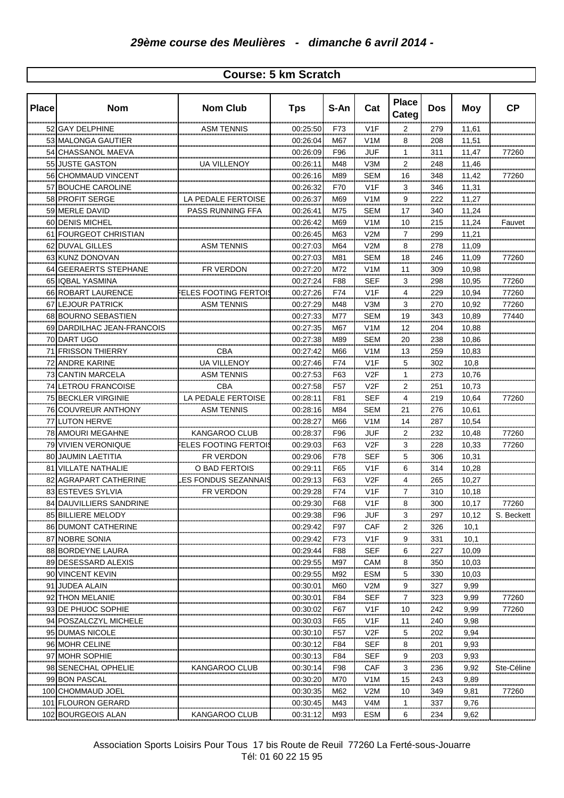## **Course: 5 km Scratch**

| <b>Place</b> | <b>Nom</b>                                 | <b>Nom Club</b>                  | <b>Tps</b>                   | S-An            | Cat               | <b>Place</b><br>Categ   | <b>Dos</b> | <b>Moy</b>     | <b>CP</b>  |
|--------------|--------------------------------------------|----------------------------------|------------------------------|-----------------|-------------------|-------------------------|------------|----------------|------------|
|              | 52 GAY DELPHINE                            | ASM TENNIS                       | 00:25:50                     | F73             | V1F               | 2<br>,,,,               | 279        | 11,61          |            |
|              | 53 MALONGA GAUTIER                         |                                  | 00:26:04                     | M67<br>         | V1M               | 8                       | 208<br>    | 11,51          |            |
|              | 54 CHASSANOL MAEVA                         |                                  | 00:26:09                     | F96             | <b>JUF</b><br>    | 1<br>                   | 311<br>    | 11,47          | 77260      |
|              | 55 JUSTE GASTON                            | UA VILLENOY                      | 00:26:11                     | M48             | V3M               | $\overline{2}$<br>      | 248<br>    | 11,46          |            |
|              | 56 CHOMMAUD VINCENT                        |                                  | 00:26:16                     | M89<br>         | SEM               | 16<br>                  | 348<br>    | 11,42          | 77260      |
| 57           | BOUCHE CAROLINE                            |                                  | 00:26:32                     | F70<br>         | V1F<br>           | 3<br>                   | 346<br>    | 11,31<br>      |            |
|              | 58 PROFIT SERGE                            | LA PEDALE FERTOISE               | 00:26:37                     | M69             | V1M               | 9<br>                   | 222        | 11,27          |            |
|              | 59 MERLE DAVID                             | PASS RUNNING FFA                 | 00:26:41                     | M75             | SEM<br>           | 17<br>                  | 340<br>    | 11,24          |            |
|              | 60 DENIS MICHEL                            |                                  | 00:26:42                     | M69<br>         | V <sub>1</sub> M  | 10<br>                  | 215<br>    | 11,24          | Fauvet     |
| 61           | FOURGEOT CHRISTIAN                         |                                  | 00:26:45<br>.                | M63<br>         | V2M<br>           | 7<br>                   | 299<br>    | 11,21<br>      |            |
|              | 62 DUVAL GILLES                            | ASM TENNIS                       | 00:27:03                     | M64<br>         | V2M               | 8<br>m.                 | 278        | 11,09          |            |
|              | 63 KUNZ DONOVAN                            |                                  | 00:27:03                     | M81             | SEM               | 18                      | 246        | 11,09          | 77260      |
|              | 64 GEERAERTS STEPHANE                      | FR VERDON                        | 00:27:20                     | M72             | V1M               | 11                      | 309        | 10,98          |            |
|              | 65 IQBAL YASMINA                           |                                  | 00:27:24                     | F88             | <b>SEF</b>        | 3                       | 298        | 10,95          | 77260      |
|              | 66 ROBART LAURENCE                         | <b>ELES FOOTING FERTOI</b>       | 00:27:26                     | F74             | V1F               | 4                       | 229        | 10,94          | 77260      |
|              | 67 LEJOUR PATRICK                          | <b>ASM TENNIS</b>                | 00:27:29                     | M48             | V3M               | 3                       | 270        | 10,92          | 77260      |
|              | 68 BOURNO SEBASTIEN                        |                                  | 00:27:33                     | M77             | <b>SEM</b>        | 19                      | 343        | 10,89          | 77440      |
|              | 69 DARDILHAC JEAN-FRANCOIS                 |                                  | 00:27:35                     | M67             | V1M               | 12                      | 204        | 10,88          |            |
|              | 70 DART UGO                                |                                  | 00:27:38                     | M89             | <b>SEM</b>        | 20                      | 238        | 10,86          |            |
| 71           | IFRISSON THIERRY                           | <b>CBA</b>                       | 00:27:42                     | M66             | V1M               | 13<br>.                 | 259        | 10,83          |            |
|              | 72 ANDRE KARINE                            | <b>UA VILLENOY</b>               | 00:27:46                     | F74             | V1F               | 5                       | 302        | 10,8           |            |
|              | 73 CANTIN MARCELA                          | ASM TENNIS                       | 00:27:53                     | F63             | V2F               | 1                       | 273        | 10,76          |            |
| 74           | LETROU FRANCOISE                           | CBA                              | 00:27:58                     | F <sub>57</sub> | V2F               | 2                       | 251        | 10,73          |            |
|              | 75 BECKLER VIRGINIE                        | LA PEDALE FERTOISE               | 00:28:11                     | F81             | SEF               | 4                       | 219        | 10,64          | 77260      |
|              | 76 COUVREUR ANTHONY                        | ASM TENNIS                       | 00:28:16                     | M84             | SEM               | 21                      | 276        | 10,61          |            |
|              | 77 LUTON HERVE                             |                                  | 00:28:27                     | M66             | V1M               | 14<br>                  | 287<br>    | 10,54          |            |
|              | 78 AMOURI MEGAHNE                          | KANGAROO CLUB                    | 00:28:37                     | F96             | <u>JUF</u>        |                         | 232<br>.   | 10,48          | 77260      |
|              | 79 VIVIEN VERONIQUE<br>80 JAUMIN LAETITIA  | ELES FOOTING FERTOIS             | 00:29:03                     | F63             | V2F               | $\overline{\mathbf{3}}$ | 228        | 10,33<br>10,31 | 77260      |
|              | 81 VILLATE NATHALIE                        | FR VERDON<br>O BAD FERTOIS       | 00:29:06<br>00:29:11         | F78<br>F65      | <b>SEF</b><br>V1F | $\overline{5}$<br>6     | 306<br>314 | 10,28          |            |
|              |                                            |                                  | 00:29:13                     | F63             | V <sub>2</sub> F  | 4                       | 265        | 10,27          |            |
|              | 82 AGRAPART CATHERINE<br>83 ESTEVES SYLVIA | ES FONDUS SEZANNAIS<br>FR VERDON | 00:29:28                     | F74             | V1F               | 7                       | 310        | 10,18          |            |
|              | 84 DAUVILLIERS SANDRINE                    |                                  | <br>00:29:30                 | F68             | V <sub>1</sub> F  | 8                       | 300        | 10.17          | 77260      |
|              | 85 BILLIERE MELODY                         |                                  | <br>00:29:38                 | F96             | JUF               | ٩                       | 297        | 10.12          | S. Beckett |
|              | 86 DUMONT CATHERINE                        |                                  | ,,,,,,,,,,,,,,,,<br>00:29:42 | <br>F97         | .<br>CAF          | 2                       | .<br>326   | 10.1           |            |
|              | 87 NOBRE SONIA                             |                                  | <br>00:29:42                 | F73             | V1F               | 9                       | <br>331    | 10,1           |            |
|              | 88 BORDEYNE LAURA                          |                                  | 00:29:44                     | F88             | SEF               | 6                       | 227        | 10,09          |            |
|              | 89 DESESSARD ALEXIS                        |                                  | 00:29:55                     | M97             | CAM               | ,,,,<br>8               | <br>350    | <br>10,03      |            |
|              | 90 VINCENT KEVIN                           |                                  | 00:29:55                     | M92             | <b>ESM</b>        | <br>5                   | 330        | 10,03          |            |
| 91           | JUDEA ALAIN                                |                                  | 00:30:01                     | M60             | V2M               | 9                       | <br>327    | <br>9,99       |            |
| 92           | ITHON MELANIE                              |                                  | 00:30:01                     | F84             | <br>SEF           | .<br>7                  | <br>323    | 9,99           | 77260      |
|              | 93 DE PHUOC SOPHIE                         |                                  | 00:30:02                     | F67             | V1F               | a ina a<br>10           | <br>242    | 9,99           | 77260      |
|              | 94 POSZALCZYL MICHELE                      |                                  | 00:30:03                     | <br>F65         | V1F               | .<br>11                 | <br>240    | 9,98           |            |
|              | 95 IDUMAS NICOLE                           |                                  | 00:30:10                     | F57             | V2F               | <br>5                   | <br>202    | 9,94           |            |
|              | 96 MOHR CELINE                             |                                  | 00:30:12                     | F84             | SEF               | ш.<br>8                 | 201        | 9,93           |            |
|              | 97 MOHR SOPHIE                             |                                  | 00:30:13                     | F84             | SEF               | 9                       | 203        | 9,93           |            |
|              | 98 SENECHAL OPHELIE                        | KANGAROO CLUB                    | 00:30:14                     | F98             | CAF               | 3                       | 236        | 9,92           | Ste-Céline |
|              | 99 BON PASCAL                              |                                  | 00:30:20                     | M70             | V1M               | 15                      | 243        | 9,89           |            |
|              | 100 CHOMMAUD JOEL                          |                                  | 00:30:35                     | M62             | V2M               | 10                      | 349        | 9,81           | 77260      |
|              | 101 FLOURON GERARD                         |                                  | 00:30:45                     | M43             | V4M               | 1                       | 337        | 9,76           |            |
|              | 102 BOURGEOIS ALAN                         | KANGAROO CLUB                    | 00:31:12                     | M93             | ESM               | 6                       | 234        | 9,62           |            |